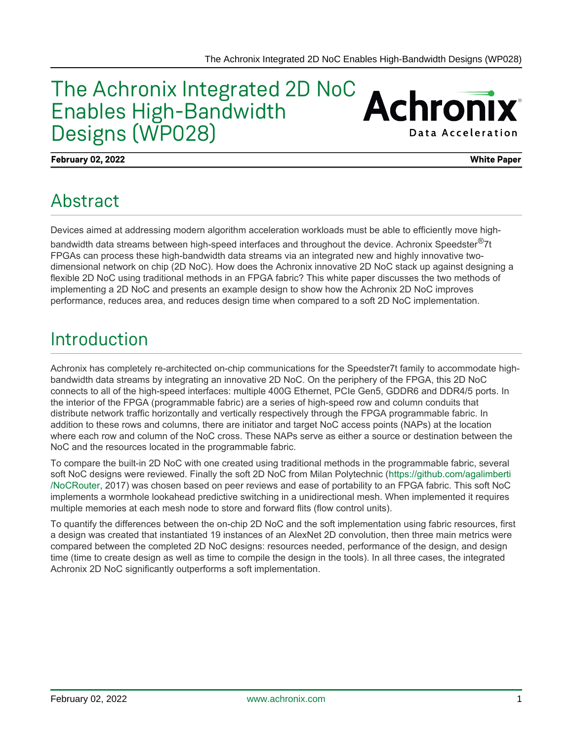#### The Achronix Integrated 2D NoC **Achronix** Enables High-Bandwidth Designs (WP028) **Data Acceleration**

**February 02, 2022 White Paper**

## Abstract

Devices aimed at addressing modern algorithm acceleration workloads must be able to efficiently move highbandwidth data streams between high-speed interfaces and throughout the device. Achronix Speedster<sup>®</sup>7t FPGAs can process these high-bandwidth data streams via an integrated new and highly innovative twodimensional network on chip (2D NoC). How does the Achronix innovative 2D NoC stack up against designing a flexible 2D NoC using traditional methods in an FPGA fabric? This white paper discusses the two methods of implementing a 2D NoC and presents an example design to show how the Achronix 2D NoC improves performance, reduces area, and reduces design time when compared to a soft 2D NoC implementation.

### Introduction

Achronix has completely re-architected on-chip communications for the Speedster7t family to accommodate highbandwidth data streams by integrating an innovative 2D NoC. On the periphery of the FPGA, this 2D NoC connects to all of the high-speed interfaces: multiple 400G Ethernet, PCIe Gen5, GDDR6 and DDR4/5 ports. In the interior of the FPGA (programmable fabric) are a series of high-speed row and column conduits that distribute network traffic horizontally and vertically respectively through the FPGA programmable fabric. In addition to these rows and columns, there are initiator and target NoC access points (NAPs) at the location where each row and column of the NoC cross. These NAPs serve as either a source or destination between the NoC and the resources located in the programmable fabric.

To compare the built-in 2D NoC with one created using traditional methods in the programmable fabric, several soft NoC designs were reviewed. Finally the soft 2D NoC from Milan Polytechnic ([https://github.com/agalimberti](https://github.com/agalimberti/NoCRouter) [/NoCRouter,](https://github.com/agalimberti/NoCRouter) 2017) was chosen based on peer reviews and ease of portability to an FPGA fabric. This soft NoC implements a wormhole lookahead predictive switching in a unidirectional mesh. When implemented it requires multiple memories at each mesh node to store and forward flits (flow control units).

To quantify the differences between the on-chip 2D NoC and the soft implementation using fabric resources, first a design was created that instantiated 19 instances of an AlexNet 2D convolution, then three main metrics were compared between the completed 2D NoC designs: resources needed, performance of the design, and design time (time to create design as well as time to compile the design in the tools). In all three cases, the integrated Achronix 2D NoC significantly outperforms a soft implementation.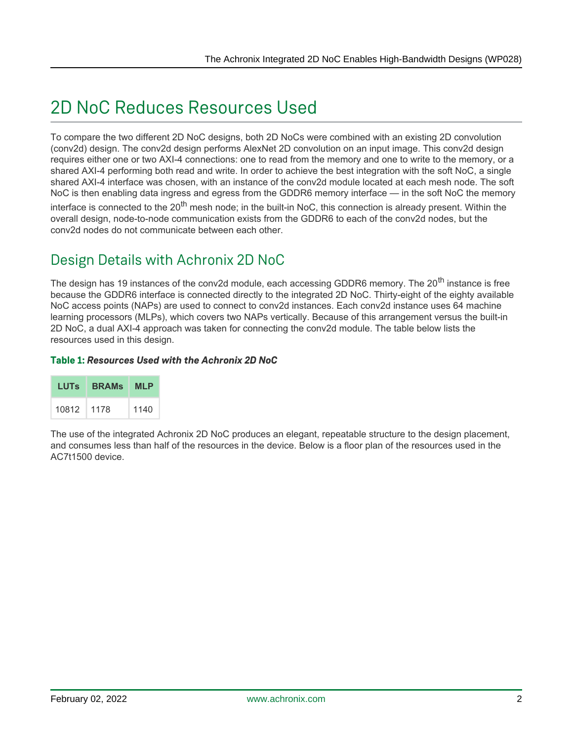## 2D NoC Reduces Resources Used

To compare the two different 2D NoC designs, both 2D NoCs were combined with an existing 2D convolution (conv2d) design. The conv2d design performs AlexNet 2D convolution on an input image. This conv2d design requires either one or two AXI-4 connections: one to read from the memory and one to write to the memory, or a shared AXI-4 performing both read and write. In order to achieve the best integration with the soft NoC, a single shared AXI-4 interface was chosen, with an instance of the conv2d module located at each mesh node. The soft NoC is then enabling data ingress and egress from the GDDR6 memory interface — in the soft NoC the memory interface is connected to the 20<sup>th</sup> mesh node; in the built-in NoC, this connection is already present. Within the overall design, node-to-node communication exists from the GDDR6 to each of the conv2d nodes, but the conv2d nodes do not communicate between each other.

### Design Details with Achronix 2D NoC

The design has 19 instances of the conv2d module, each accessing GDDR6 memory. The 20<sup>th</sup> instance is free because the GDDR6 interface is connected directly to the integrated 2D NoC. Thirty-eight of the eighty available NoC access points (NAPs) are used to connect to conv2d instances. Each conv2d instance uses 64 machine learning processors (MLPs), which covers two NAPs vertically. Because of this arrangement versus the built-in 2D NoC, a dual AXI-4 approach was taken for connecting the conv2d module. The table below lists the resources used in this design.

#### **Table 1:** *Resources Used with the Achronix 2D NoC*

| LUTS  | <b>BRAMs</b> | <b>MLP</b> |
|-------|--------------|------------|
| 10812 | 1178         | 1140       |

The use of the integrated Achronix 2D NoC produces an elegant, repeatable structure to the design placement, and consumes less than half of the resources in the device. Below is a floor plan of the resources used in the AC7t1500 device.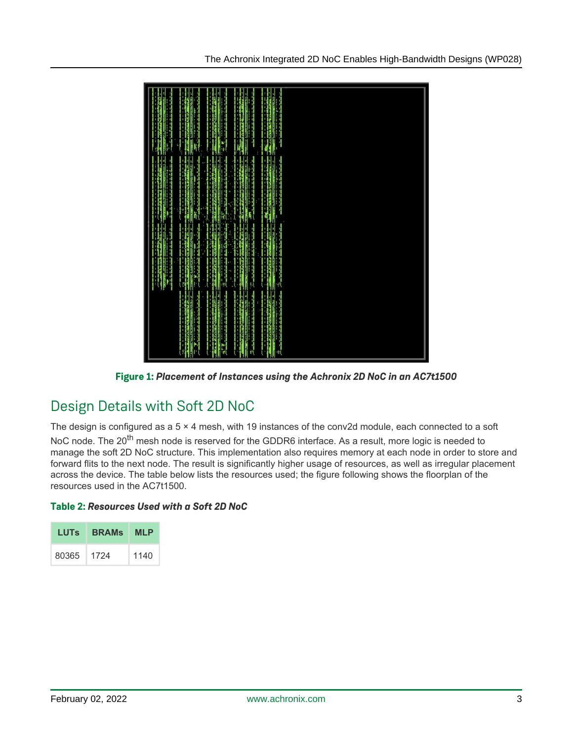

**Figure 1:** *Placement of Instances using the Achronix 2D NoC in an AC7t1500*

### Design Details with Soft 2D NoC

The design is configured as a  $5 \times 4$  mesh, with 19 instances of the conv2d module, each connected to a soft NoC node. The 20<sup>th</sup> mesh node is reserved for the GDDR6 interface. As a result, more logic is needed to manage the soft 2D NoC structure. This implementation also requires memory at each node in order to store and forward flits to the next node. The result is significantly higher usage of resources, as well as irregular placement across the device. The table below lists the resources used; the figure following shows the floorplan of the resources used in the AC7t1500.

#### **Table 2:** *Resources Used with a Soft 2D NoC*

| LUTS. | <b>BRAMs</b> | <b>MLP</b> |
|-------|--------------|------------|
| 80365 | 1724         | 1140       |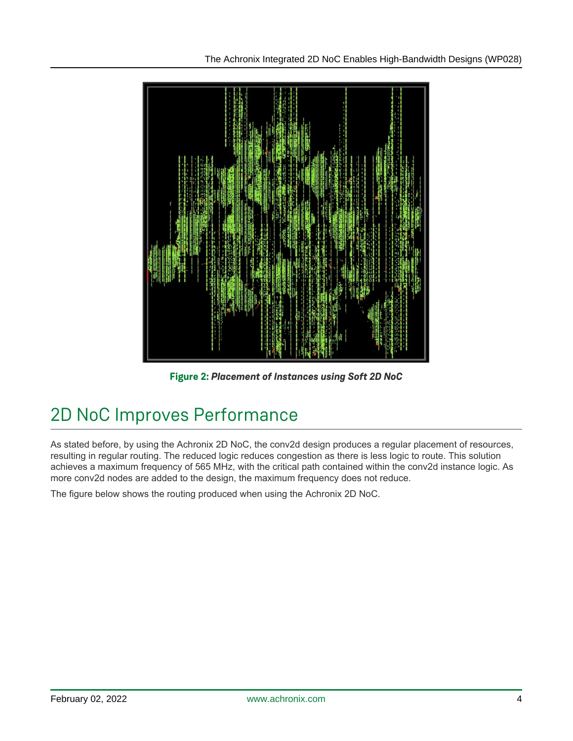

**Figure 2:** *Placement of Instances using Soft 2D NoC*

# 2D NoC Improves Performance

As stated before, by using the Achronix 2D NoC, the conv2d design produces a regular placement of resources, resulting in regular routing. The reduced logic reduces congestion as there is less logic to route. This solution achieves a maximum frequency of 565 MHz, with the critical path contained within the conv2d instance logic. As more conv2d nodes are added to the design, the maximum frequency does not reduce.

The figure below shows the routing produced when using the Achronix 2D NoC.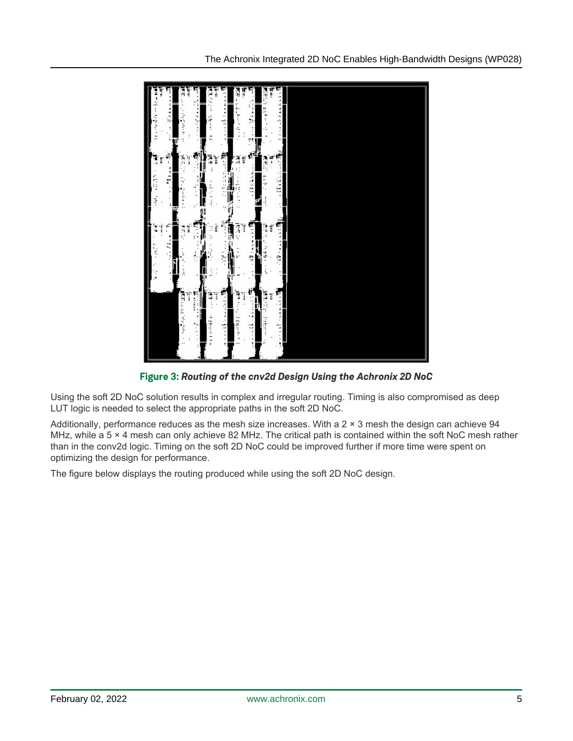

**Figure 3:** *Routing of the cnv2d Design Using the Achronix 2D NoC*

Using the soft 2D NoC solution results in complex and irregular routing. Timing is also compromised as deep LUT logic is needed to select the appropriate paths in the soft 2D NoC.

Additionally, performance reduces as the mesh size increases. With a 2 × 3 mesh the design can achieve 94 MHz, while a 5  $\times$  4 mesh can only achieve 82 MHz. The critical path is contained within the soft NoC mesh rather than in the conv2d logic. Timing on the soft 2D NoC could be improved further if more time were spent on optimizing the design for performance.

The figure below displays the routing produced while using the soft 2D NoC design.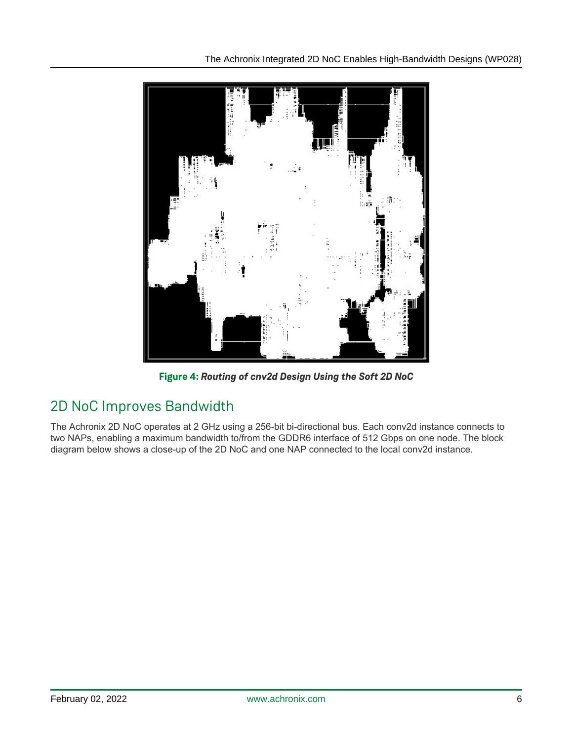

**Figure 4:** *Routing of cnv2d Design Using the Soft 2D NoC*

### 2D NoC Improves Bandwidth

The Achronix 2D NoC operates at 2 GHz using a 256-bit bi-directional bus. Each conv2d instance connects to two NAPs, enabling a maximum bandwidth to/from the GDDR6 interface of 512 Gbps on one node. The block diagram below shows a close-up of the 2D NoC and one NAP connected to the local conv2d instance.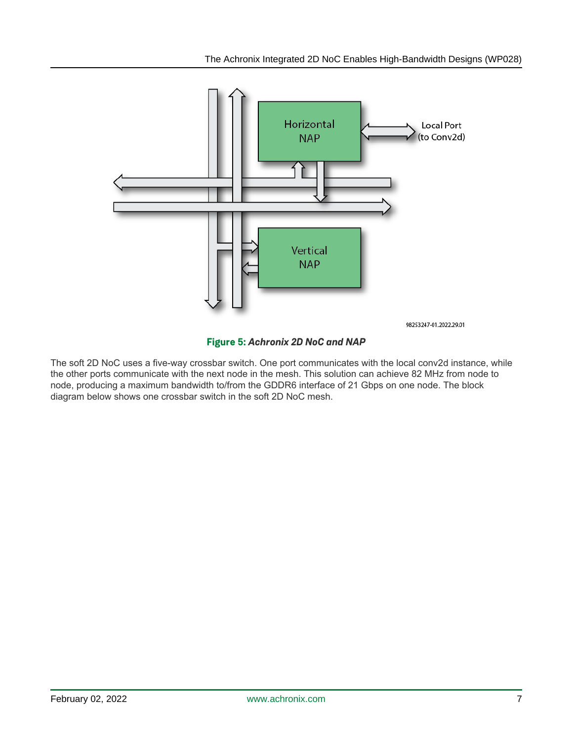

**Figure 5:** *Achronix 2D NoC and NAP*

The soft 2D NoC uses a five-way crossbar switch. One port communicates with the local conv2d instance, while the other ports communicate with the next node in the mesh. This solution can achieve 82 MHz from node to node, producing a maximum bandwidth to/from the GDDR6 interface of 21 Gbps on one node. The block diagram below shows one crossbar switch in the soft 2D NoC mesh.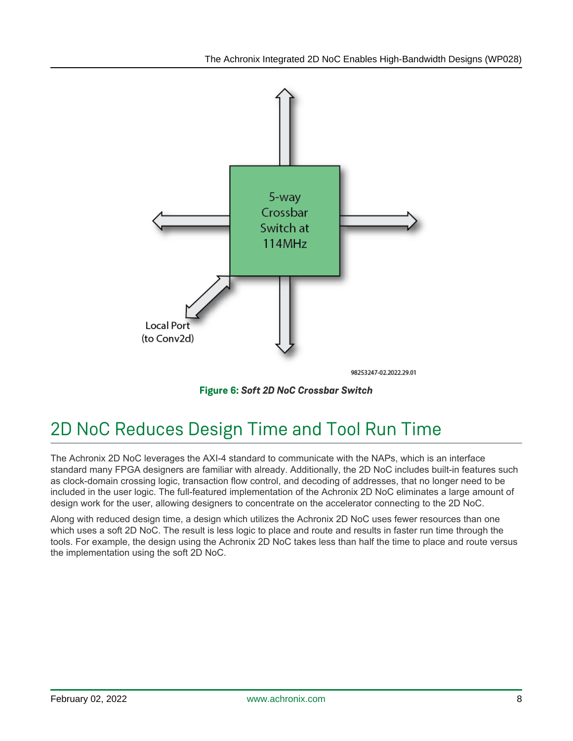

**Figure 6:** *Soft 2D NoC Crossbar Switch*

## 2D NoC Reduces Design Time and Tool Run Time

The Achronix 2D NoC leverages the AXI-4 standard to communicate with the NAPs, which is an interface standard many FPGA designers are familiar with already. Additionally, the 2D NoC includes built-in features such as clock-domain crossing logic, transaction flow control, and decoding of addresses, that no longer need to be included in the user logic. The full-featured implementation of the Achronix 2D NoC eliminates a large amount of design work for the user, allowing designers to concentrate on the accelerator connecting to the 2D NoC.

Along with reduced design time, a design which utilizes the Achronix 2D NoC uses fewer resources than one which uses a soft 2D NoC. The result is less logic to place and route and results in faster run time through the tools. For example, the design using the Achronix 2D NoC takes less than half the time to place and route versus the implementation using the soft 2D NoC.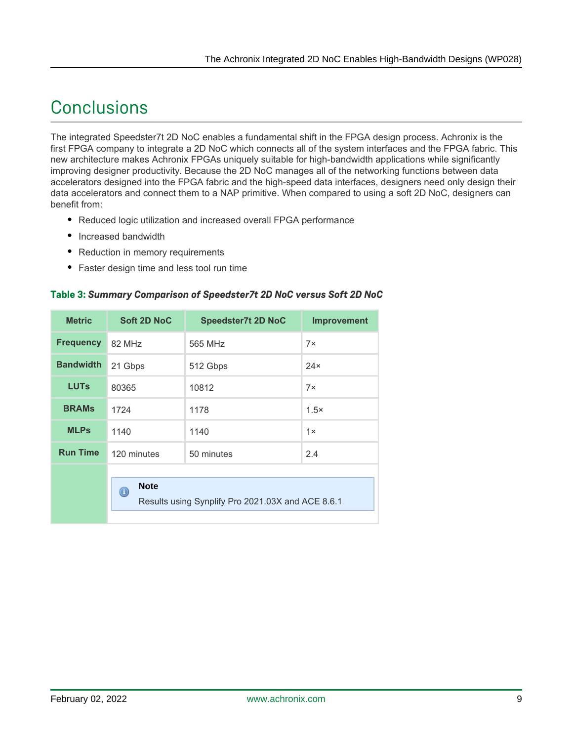## **Conclusions**

The integrated Speedster7t 2D NoC enables a fundamental shift in the FPGA design process. Achronix is the first FPGA company to integrate a 2D NoC which connects all of the system interfaces and the FPGA fabric. This new architecture makes Achronix FPGAs uniquely suitable for high-bandwidth applications while significantly improving designer productivity. Because the 2D NoC manages all of the networking functions between data accelerators designed into the FPGA fabric and the high-speed data interfaces, designers need only design their data accelerators and connect them to a NAP primitive. When compared to using a soft 2D NoC, designers can benefit from:

- Reduced logic utilization and increased overall FPGA performance
- Increased bandwidth
- Reduction in memory requirements
- Faster design time and less tool run time

#### **Table 3:** *Summary Comparison of Speedster7t 2D NoC versus Soft 2D NoC*

| <b>Metric</b>    | Soft 2D NoC                                                                              | <b>Speedster7t 2D NoC</b> | <b>Improvement</b> |  |
|------------------|------------------------------------------------------------------------------------------|---------------------------|--------------------|--|
| <b>Frequency</b> | 82 MHz                                                                                   | 565 MHz                   | $7\times$          |  |
| <b>Bandwidth</b> | 21 Gbps                                                                                  | 512 Gbps                  | $24\times$         |  |
| <b>LUTs</b>      | 80365                                                                                    | 10812                     | $7\times$          |  |
| <b>BRAMs</b>     | 1724                                                                                     | 1178                      | $1.5\times$        |  |
| <b>MLPs</b>      | 1140                                                                                     | 1140                      | 1x                 |  |
| <b>Run Time</b>  | 120 minutes                                                                              | 50 minutes                | 2.4                |  |
|                  | <b>Note</b><br>$_{\textstyle\odot}$<br>Results using Synplify Pro 2021.03X and ACE 8.6.1 |                           |                    |  |